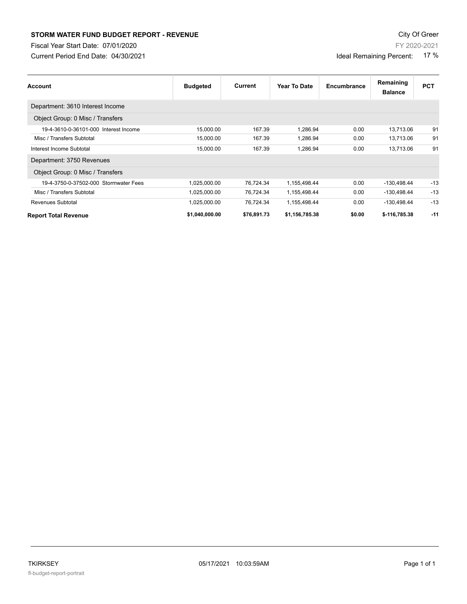## **STORM WATER FUND BUDGET REPORT - REVENUE CONTEXT AND REPORT ASSESSMENT OF A STORM WATER FUND BUDGET REPORT - REVENUE**

Fiscal Year Start Date: 07/01/2020

Current Period End Date: 04/30/2021

| Account                               | <b>Budgeted</b> | Current   | Year To Date | Encumbrance | Remaining<br><b>Balance</b> | <b>PCT</b> |
|---------------------------------------|-----------------|-----------|--------------|-------------|-----------------------------|------------|
| Department: 3610 Interest Income      |                 |           |              |             |                             |            |
| Object Group: 0 Misc / Transfers      |                 |           |              |             |                             |            |
| 19-4-3610-0-36101-000 Interest Income | 15,000.00       | 167.39    | 1.286.94     | 0.00        | 13,713.06                   | 91         |
| Misc / Transfers Subtotal             | 15,000.00       | 167.39    | 1.286.94     | 0.00        | 13,713.06                   | 91         |
| Interest Income Subtotal              | 15,000.00       | 167.39    | 1,286.94     | 0.00        | 13,713.06                   | 91         |
| Department: 3750 Revenues             |                 |           |              |             |                             |            |
| Object Group: 0 Misc / Transfers      |                 |           |              |             |                             |            |
| 19-4-3750-0-37502-000 Stormwater Fees | 1,025,000.00    | 76,724.34 | 1,155,498.44 | 0.00        | -130,498.44                 | $-13$      |
| Misc / Transfers Subtotal             | 1,025,000.00    | 76,724.34 | 1,155,498.44 | 0.00        | -130,498.44                 | $-13$      |
| Revenues Subtotal                     | 1,025,000.00    | 76,724.34 | 1,155,498.44 | 0.00        | $-130,498.44$               | $-13$      |

**Report Total Revenue \$1,040,000.00 \$76,891.73 \$1,156,785.38 \$0.00 \$-116,785.38 -11**

FY 2020-2021

Ideal Remaining Percent: 17 %